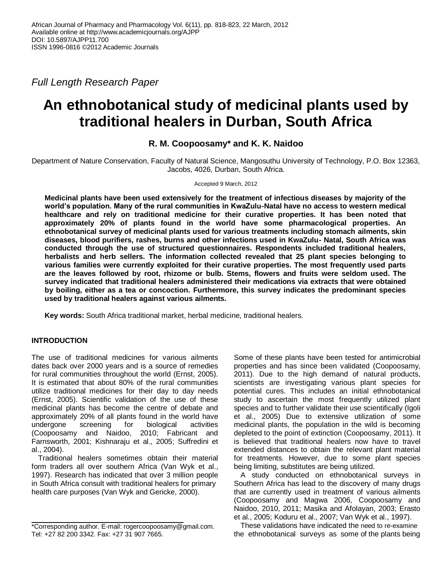*Full Length Research Paper*

# **An ethnobotanical study of medicinal plants used by traditional healers in Durban, South Africa**

## **R. M. Coopoosamy\* and K. K. Naidoo**

Department of Nature Conservation, Faculty of Natural Science, Mangosuthu University of Technology, P.O. Box 12363, Jacobs, 4026, Durban, South Africa.

### Accepted 9 March, 2012

**Medicinal plants have been used extensively for the treatment of infectious diseases by majority of the world's population. Many of the rural communities in KwaZulu-Natal have no access to western medical healthcare and rely on traditional medicine for their curative properties. It has been noted that approximately 20% of plants found in the world have some pharmacological properties. An ethnobotanical survey of medicinal plants used for various treatments including stomach ailments, skin diseases, blood purifiers, rashes, burns and other infections used in KwaZulu- Natal, South Africa was conducted through the use of structured questionnaires. Respondents included traditional healers, herbalists and herb sellers. The information collected revealed that 25 plant species belonging to various families were currently exploited for their curative properties. The most frequently used parts are the leaves followed by root, rhizome or bulb. Stems, flowers and fruits were seldom used. The survey indicated that traditional healers administered their medications via extracts that were obtained by boiling, either as a tea or concoction. Furthermore, this survey indicates the predominant species used by traditional healers against various ailments.**

**Key words:** South Africa traditional market, herbal medicine, traditional healers.

## **INTRODUCTION**

The use of traditional medicines for various ailments dates back over 2000 years and is a source of remedies for rural communities throughout the world (Ernst, 2005). It is estimated that about 80% of the rural communities utilize traditional medicines for their day to day needs (Ernst, 2005). Scientific validation of the use of these medicinal plants has become the centre of debate and approximately 20% of all plants found in the world have undergone screening for biological activities (Coopoosamy and Naidoo, 2010; Fabricant and Farnsworth, 2001; Kishnaraju et al., 2005; Suffredini et al., 2004).

Traditional healers sometimes obtain their material form traders all over southern Africa (Van Wyk et al., 1997). Research has indicated that over 3 million people in South Africa consult with traditional healers for primary health care purposes (Van Wyk and Gericke, 2000).

Some of these plants have been tested for antimicrobial properties and has since been validated (Coopoosamy, 2011). Due to the high demand of natural products, scientists are investigating various plant species for potential cures. This includes an initial ethnobotanical study to ascertain the most frequently utilized plant species and to further validate their use scientifically (Igoli et al., 2005) Due to extensive utilization of some medicinal plants, the population in the wild is becoming depleted to the point of extinction (Coopoosamy, 2011). It is believed that traditional healers now have to travel extended distances to obtain the relevant plant material for treatments. However, due to some plant species being limiting, substitutes are being utilized.

A study conducted on ethnobotanical surveys in Southern Africa has lead to the discovery of many drugs that are currently used in treatment of various ailments (Coopoosamy and Magwa 2006, Coopoosamy and Naidoo, 2010, 2011; Masika and Afolayan, 2003; Erasto et al., 2005; Koduru et al., 2007; Van Wyk et al., 1997).

These validations have indicated the need to re-examine the ethnobotanical surveys as some of the plants being

<sup>\*</sup>Corresponding author. E-mail: rogercoopoosamy@gmail.com. Tel: +27 82 200 3342. Fax: +27 31 907 7665.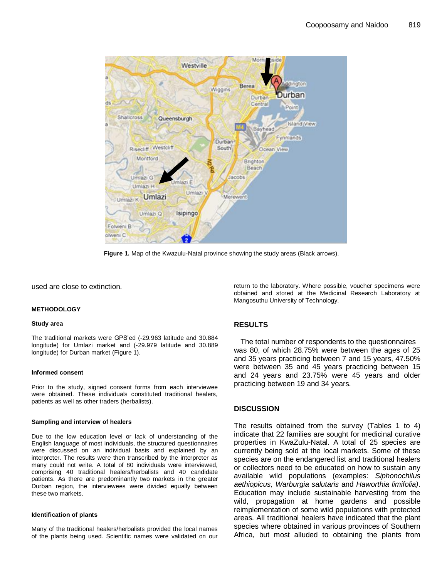

**Figure 1.** Map of the Kwazulu-Natal province showing the study areas (Black arrows).

used are close to extinction.

#### **METHODOLOGY**

#### **Study area**

The traditional markets were GPS'ed (-29.963 latitude and 30.884 longitude) for Umlazi market and (-29.979 latitude and 30.889 longitude) for Durban market (Figure 1).

#### **Informed consent**

Prior to the study, signed consent forms from each interviewee were obtained. These individuals constituted traditional healers, patients as well as other traders (herbalists).

#### **Sampling and interview of healers**

Due to the low education level or lack of understanding of the English language of most individuals, the structured questionnaires were discussed on an individual basis and explained by an interpreter. The results were then transcribed by the interpreter as many could not write. A total of 80 individuals were interviewed, comprising 40 traditional healers/herbalists and 40 candidate patients. As there are predominantly two markets in the greater Durban region, the interviewees were divided equally between these two markets.

#### **Identification of plants**

Many of the traditional healers/herbalists provided the local names of the plants being used. Scientific names were validated on our return to the laboratory. Where possible, voucher specimens were obtained and stored at the Medicinal Research Laboratory at Mangosuthu University of Technology.

## **RESULTS**

The total number of respondents to the questionnaires was 80, of which 28.75% were between the ages of 25 and 35 years practicing between 7 and 15 years, 47.50% were between 35 and 45 years practicing between 15 and 24 years and 23.75% were 45 years and older practicing between 19 and 34 years.

## **DISCUSSION**

The results obtained from the survey (Tables 1 to 4) indicate that 22 families are sought for medicinal curative properties in KwaZulu-Natal. A total of 25 species are currently being sold at the local markets. Some of these species are on the endangered list and traditional healers or collectors need to be educated on how to sustain any available wild populations (examples: *Siphonochilus aethiopicus, Warburgia salutaris* and *Haworthia limifolia)*. Education may include sustainable harvesting from the wild, propagation at home gardens and possible reimplementation of some wild populations with protected areas. All traditional healers have indicated that the plant species where obtained in various provinces of Southern Africa, but most alluded to obtaining the plants from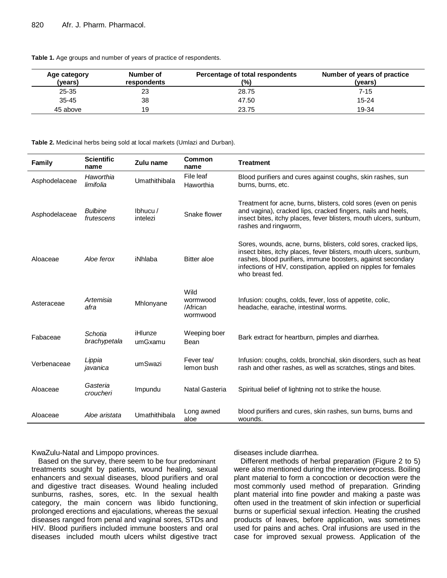| Table 1. Age groups and number of years of practice of respondents. |  |  |
|---------------------------------------------------------------------|--|--|
|---------------------------------------------------------------------|--|--|

| Age category<br>(vears) | Number of<br>respondents | Percentage of total respondents<br>(%) | Number of years of practice<br>(years) |
|-------------------------|--------------------------|----------------------------------------|----------------------------------------|
| $25 - 35$               | 23                       | 28.75                                  | 7-15                                   |
| $35 - 45$               | 38                       | 47.50                                  | $15 - 24$                              |
| 45 above                | 19                       | 23.75                                  | 19-34                                  |

**Table 2.** Medicinal herbs being sold at local markets (Umlazi and Durban).

| Family        | <b>Scientific</b><br>name    | Zulu name              | Common<br>name                           | <b>Treatment</b>                                                                                                                                                                                                                                                                           |
|---------------|------------------------------|------------------------|------------------------------------------|--------------------------------------------------------------------------------------------------------------------------------------------------------------------------------------------------------------------------------------------------------------------------------------------|
| Asphodelaceae | Haworthia<br>limifolia       | Umathithibala          | File leaf<br>Haworthia                   | Blood purifiers and cures against coughs, skin rashes, sun<br>burns, burns, etc.                                                                                                                                                                                                           |
| Asphodelaceae | <b>Bulbine</b><br>frutescens | Ibhucu $/$<br>intelezi | Snake flower                             | Treatment for acne, burns, blisters, cold sores (even on penis<br>and vagina), cracked lips, cracked fingers, nails and heels,<br>insect bites, itchy places, fever blisters, mouth ulcers, sunburn,<br>rashes and ringworm,                                                               |
| Aloaceae      | Aloe ferox                   | iNhlaba                | <b>Bitter</b> aloe                       | Sores, wounds, acne, burns, blisters, cold sores, cracked lips,<br>insect bites, itchy places, fever blisters, mouth ulcers, sunburn,<br>rashes, blood purifiers, immune boosters, against secondary<br>infections of HIV, constipation, applied on nipples for females<br>who breast fed. |
| Asteraceae    | Artemisia<br>afra            | Mhlonyane              | Wild<br>wormwood<br>/African<br>wormwood | Infusion: coughs, colds, fever, loss of appetite, colic,<br>headache, earache, intestinal worms.                                                                                                                                                                                           |
| Fabaceae      | Schotia<br>brachypetala      | iHlunze<br>umGxamu     | Weeping boer<br>Bean                     | Bark extract for heartburn, pimples and diarrhea.                                                                                                                                                                                                                                          |
| Verbenaceae   | Lippia<br>javanica           | umSwazi                | Fever tea/<br>lemon bush                 | Infusion: coughs, colds, bronchial, skin disorders, such as heat<br>rash and other rashes, as well as scratches, stings and bites.                                                                                                                                                         |
| Aloaceae      | Gasteria<br>croucheri        | Impundu                | Natal Gasteria                           | Spiritual belief of lightning not to strike the house.                                                                                                                                                                                                                                     |
| Aloaceae      | Aloe aristata                | Umathithibala          | Long awned<br>aloe                       | blood purifiers and cures, skin rashes, sun burns, burns and<br>wounds.                                                                                                                                                                                                                    |

KwaZulu-Natal and Limpopo provinces.

Based on the survey, there seem to be four predominant treatments sought by patients, wound healing, sexual enhancers and sexual diseases, blood purifiers and oral and digestive tract diseases. Wound healing included sunburns, rashes, sores, etc. In the sexual health category, the main concern was libido functioning, prolonged erections and ejaculations, whereas the sexual diseases ranged from penal and vaginal sores, STDs and HIV. Blood purifiers included immune boosters and oral diseases included mouth ulcers whilst digestive tract

diseases include diarrhea.

Different methods of herbal preparation (Figure 2 to 5) were also mentioned during the interview process. Boiling plant material to form a concoction or decoction were the most commonly used method of preparation. Grinding plant material into fine powder and making a paste was often used in the treatment of skin infection or superficial burns or superficial sexual infection. Heating the crushed products of leaves, before application, was sometimes used for pains and aches. Oral infusions are used in the case for improved sexual prowess. Application of the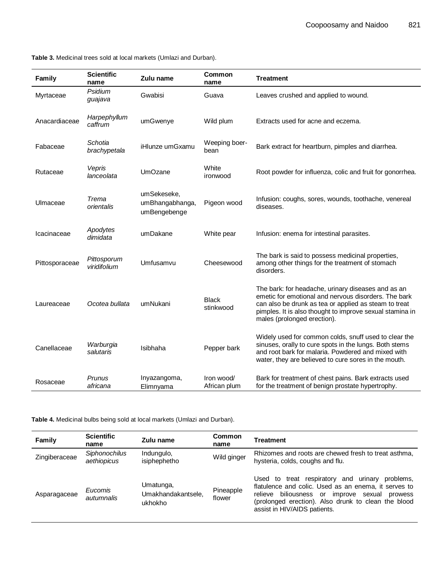**Table 3.** Medicinal trees sold at local markets (Umlazi and Durban).

| Family         | <b>Scientific</b><br>name   | Zulu name                                      | Common<br>name             | <b>Treatment</b>                                                                                                                                                                                                                                               |
|----------------|-----------------------------|------------------------------------------------|----------------------------|----------------------------------------------------------------------------------------------------------------------------------------------------------------------------------------------------------------------------------------------------------------|
| Myrtaceae      | Psidium<br>guajava          | Gwabisi                                        | Guava                      | Leaves crushed and applied to wound.                                                                                                                                                                                                                           |
| Anacardiaceae  | Harpephyllum<br>caffrum     | umGwenye                                       | Wild plum                  | Extracts used for acne and eczema.                                                                                                                                                                                                                             |
| Fabaceae       | Schotia<br>brachypetala     | iHlunze umGxamu                                | Weeping boer-<br>bean      | Bark extract for heartburn, pimples and diarrhea.                                                                                                                                                                                                              |
| Rutaceae       | Vepris<br>lanceolata        | <b>UmOzane</b>                                 | White<br>ironwood          | Root powder for influenza, colic and fruit for gonorrhea.                                                                                                                                                                                                      |
| Ulmaceae       | Trema<br>orientalis         | umSekeseke,<br>umBhangabhanga,<br>umBengebenge | Pigeon wood                | Infusion: coughs, sores, wounds, toothache, venereal<br>diseases.                                                                                                                                                                                              |
| Icacinaceae    | Apodytes<br>dimidata        | umDakane                                       | White pear                 | Infusion: enema for intestinal parasites.                                                                                                                                                                                                                      |
| Pittosporaceae | Pittosporum<br>viridifolium | Umfusamvu                                      | Cheesewood                 | The bark is said to possess medicinal properties,<br>among other things for the treatment of stomach<br>disorders.                                                                                                                                             |
| Laureaceae     | Ocotea bullata              | umNukani                                       | <b>Black</b><br>stinkwood  | The bark: for headache, urinary diseases and as an<br>emetic for emotional and nervous disorders. The bark<br>can also be drunk as tea or applied as steam to treat<br>pimples. It is also thought to improve sexual stamina in<br>males (prolonged erection). |
| Canellaceae    | Warburgia<br>salutaris      | Isibhaha                                       | Pepper bark                | Widely used for common colds, snuff used to clear the<br>sinuses, orally to cure spots in the lungs. Both stems<br>and root bark for malaria. Powdered and mixed with<br>water, they are believed to cure sores in the mouth.                                  |
| Rosaceae       | Prunus<br>africana          | Inyazangoma,<br>Elimnyama                      | Iron wood/<br>African plum | Bark for treatment of chest pains. Bark extracts used<br>for the treatment of benign prostate hypertrophy.                                                                                                                                                     |

**Table 4.** Medicinal bulbs being sold at local markets (Umlazi and Durban).

| Family        | <b>Scientific</b><br>name           | Zulu name                                  | <b>Common</b><br>name | Treatment                                                                                                                                                                                                                                                      |
|---------------|-------------------------------------|--------------------------------------------|-----------------------|----------------------------------------------------------------------------------------------------------------------------------------------------------------------------------------------------------------------------------------------------------------|
| Zingiberaceae | <b>Siphonochilus</b><br>aethiopicus | Indungulo,<br>isiphephetho                 | Wild ginger           | Rhizomes and roots are chewed fresh to treat asthma,<br>hysteria, colds, coughs and flu.                                                                                                                                                                       |
| Asparagaceae  | Eucomis<br>autumnalis               | Umatunga,<br>Umakhandakantsele,<br>ukhokho | Pineapple<br>flower   | to treat respiratory and urinary<br>problems,<br>Used<br>flatulence and colic. Used as an enema, it serves to<br>biliousness or<br>improve sexual<br>relieve<br>prowess<br>(prolonged erection). Also drunk to clean the blood<br>assist in HIV/AIDS patients. |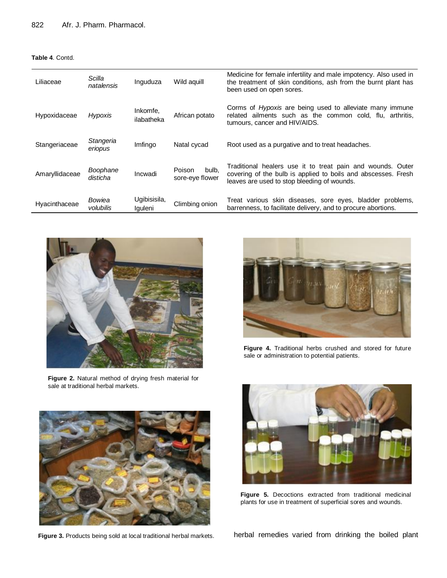## **Table 4**. Contd.

| Liliaceae      | Scilla<br>natalensis | Inguduza                | Wild aguill                        | Medicine for female infertility and male impotency. Also used in<br>the treatment of skin conditions, ash from the burnt plant has<br>been used on open sores.             |
|----------------|----------------------|-------------------------|------------------------------------|----------------------------------------------------------------------------------------------------------------------------------------------------------------------------|
| Hypoxidaceae   | Hypoxis              | Inkomfe,<br>ilabatheka  | African potato                     | Corms of <i>Hypoxis</i> are being used to alleviate many immune<br>related ailments such as the common cold, flu, arthritis,<br>tumours, cancer and HIV/AIDS.              |
| Stangeriaceae  | Stangeria<br>eriopus | Imfingo                 | Natal cycad                        | Root used as a purgative and to treat headaches.                                                                                                                           |
| Amaryllidaceae | Boophane<br>disticha | Incwadi                 | Poison<br>bulb.<br>sore-eye flower | Traditional healers use it to treat pain and wounds. Outer<br>covering of the bulb is applied to boils and abscesses. Fresh<br>leaves are used to stop bleeding of wounds. |
| Hyacinthaceae  | Bowiea<br>volubilis  | Ugibisisila,<br>Iquleni | Climbing onion                     | Treat various skin diseases, sore eyes, bladder problems,<br>barrenness, to facilitate delivery, and to procure abortions.                                                 |



**Figure 2.** Natural method of drying fresh material for sale at traditional herbal markets.



**Figure 4.** Traditional herbs crushed and stored for future sale or administration to potential patients.



**Figure 3.** Products being sold at local traditional herbal markets.



**Figure 5.** Decoctions extracted from traditional medicinal plants for use in treatment of superficial sores and wounds.

herbal remedies varied from drinking the boiled plant